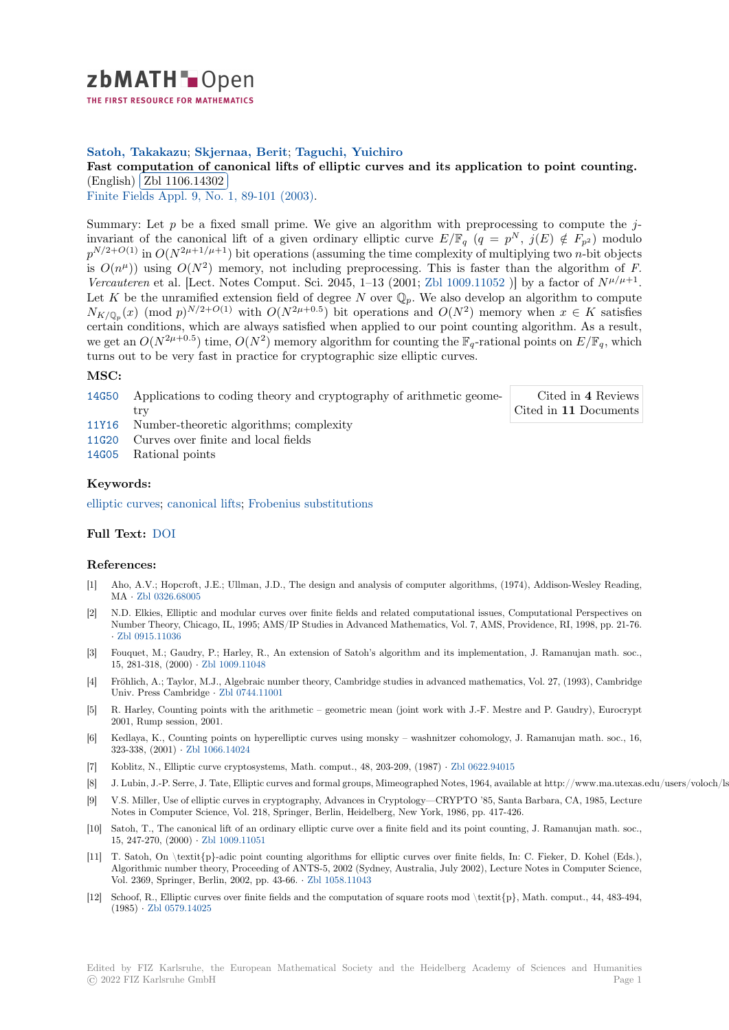

THE FIRST RESOURCE FOR MATHEMATICS

## **Satoh, Takakazu**; **Skjernaa, Berit**; **Taguchi, Yuichiro**

# [F](https://zbmath.org/)ast computation of canonical lifts of elliptic curves and its application to point counting. Fast computation of ca<br>(English) Zbl 1106.14302

(English) (Ebi 1100.14802)<br>Finite Fields Appl. 9, No. 1, 89-101 (2003).

[Summary: Let](https://zbmath.org/authors/?q=ai:satoh.takakazu) *p* [be a fixed small prime. We give an algorithm with preprocessing to compute the](https://zbmath.org/1106.14302) *j*invariant [of the canonical l](https://zbmath.org/1106.14302)ift of a given ordinary elliptic curve  $E/\mathbb{F}_q$   $(q = p^N, j(E) \notin F_{p^2})$  modulo  $p^{N/2+O(1)}$  [in](https://zbmath.org/journals/?q=se:2055)  $O(N^{2\mu+1/\mu+1})$  [bit operations \(](https://zbmath.org/?q=in:91219)assuming the time complexity of multiplying two *n*-bit objects is  $O(n^{\mu})$ ) using  $O(N^2)$  memory, not including preprocessing. This is faster than the algorithm of *F*. *Vercauteren* et al. [Lect. Notes Comput. Sci. 2045, 1-13 (2001; Zbl 1009.11052)] by a factor of  $N^{\mu/\mu+1}$ . Let *K* be the unramified extension field of degree *N* over  $\mathbb{Q}_p$ . We also develop an algorithm to compute  $N_{K/\mathbb{Q}_p}(x)$  (mod *p*) $^{N/2+O(1)}$  with  $O(N^{2\mu+0.5})$  bit operations and  $O(N^2)$  memory when  $x \in K$  satisfies certain conditions, which are always satisfied when applied to our point counting algorithm. As a result, we get an  $O(N^{2\mu+0.5})$  time,  $O(N^2)$  memory algorithm for count[ing the](https://zbmath.org/?q=an:1009.11052)  $\mathbb{F}_q$ -rational points on  $E/\mathbb{F}_q$ , which turns out to be very fast in practice for cryptographic size elliptic curves.

### **MSC:**

- 14G50 Applications to coding theory and cryptography of arithmetic geometry Cited in **4** Reviews Cited in **11** Documents
- 11Y16 Number-theoretic algorithms; complexity
- 11G20 Curves over finite and local fields
- [14G05](https://zbmath.org/classification/?q=cc:14G50) Rational points

### **[Keyw](https://zbmath.org/classification/?q=cc:11Y16)ords:**

[elliptic](https://zbmath.org/classification/?q=cc:11G20) curves; canonical lifts; Frobenius substitutions

### **Full Text:** DOI

#### **[References:](https://zbmath.org/?q=ut:elliptic+curves)**

- [1] Aho, A.V.; Hopcroft, J.E.; Ullman, J.D., The design and analysis of computer algorithms, (1974), Addison-Wesley Reading, MA *·* Zbl [0326.](https://dx.doi.org/10.1016/S1071-5797(02)00013-8)68005
- [2] N.D. Elkies, Elliptic and modular curves over finite fields and related computational issues, Computational Perspectives on Number Theory, Chicago, IL, 1995; AMS/IP Studies in Advanced Mathematics, Vol. 7, AMS, Providence, RI, 1998, pp. 21-76. *·* Zbl 0915.11036
- [3] Fouq[uet, M.; Gaudry](https://zbmath.org/0326.68005), P.; Harley, R., An extension of Satoh's algorithm and its implementation, J. Ramanujan math. soc., 15, 281-318, (2000) *·* Zbl 1009.11048
- [4] Fröhlich, A.; Taylor, M.J., Algebraic number theory, Cambridge studies in advanced mathematics, Vol. 27, (1993), Cambridge [Univ. Press Cam](https://zbmath.org/0915.11036)bridge *·* Zbl 0744.11001
- [5] R. Harley, Counting points with the arithmetic geometric mean (joint work with J.-F. Mestre and P. Gaudry), Eurocrypt 2001, Rump session, [2001.](https://zbmath.org/1009.11048)
- [6] Kedlaya, K., Counting points on hyperelliptic curves using monsky washnitzer cohomology, J. Ramanujan math. soc., 16, 323-338, (2001) *·* Zbl 106[6.14024](https://zbmath.org/0744.11001)
- [7] Koblitz, N., Elliptic curve cryptosystems, Math. comput., 48, 203-209, (1987) *·* Zbl 0622.94015
- [8] J. Lubin, J.-P. Serre, J. Tate, Elliptic curves and formal groups, Mimeographed Notes, 1964, available at http://www.ma.utexas.edu/users/voloch/lst.html.
- [9] V.S. Miller, Use of elliptic curves in cryptography, Advances in Cryptology—CRYPTO '85, Santa Barbara, CA, 1985, Lecture Notes in Comput[er Science, Vol.](https://zbmath.org/1066.14024) 218, Springer, Berlin, Heidelberg, New York, 1986, pp. 417-426.
- [10] Satoh, T., The canonical lift of an ordinary elliptic curve over a finite field and [its point counti](https://zbmath.org/0622.94015)ng, J. Ramanujan math. soc., 15, 247-270, (2000) *·* Zbl 1009.11051
- [11] T. Satoh, On \textit{p}-adic point counting algorithms for elliptic curves over finite fields, In: C. Fieker, D. Kohel (Eds.), Algorithmic number theory, Proceeding of ANTS-5, 2002 (Sydney, Australia, July 2002), Lecture Notes in Computer Science, Vol. 2369, Springer, Berlin, 2002, pp. 43-66. *·* Zbl 1058.11043
- [12] Schoof, R., Elliptic c[urves over finite](https://zbmath.org/1009.11051) fields and the computation of square roots mod \textit{p}, Math. comput., 44, 483-494, (1985) *·* Zbl 0579.14025